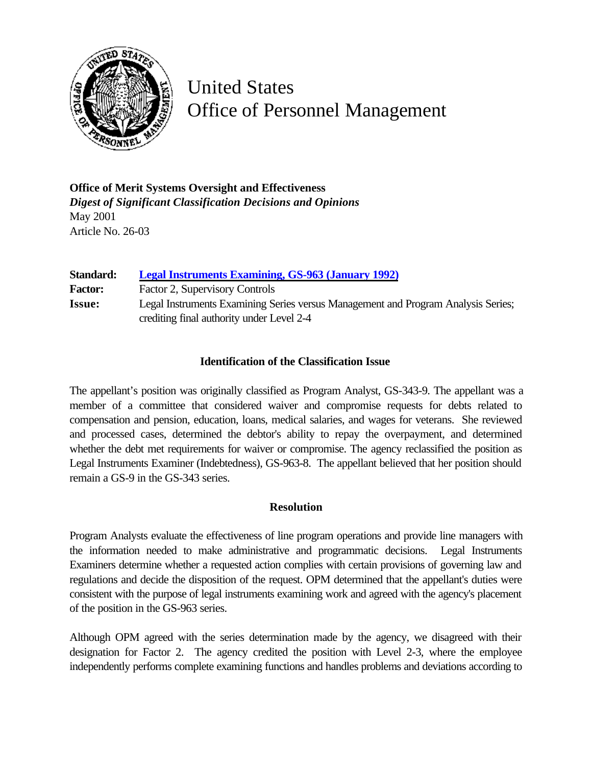

## United States Office of Personnel Management

**Office of Merit Systems Oversight and Effectiveness** *Digest of Significant Classification Decisions and Opinions* May 2001 Article No. 26-03

**Standard: [Legal Instruments Examining, GS-963 \(January 1992\)](http://www.opm.gov/fedclass/gs0963.pdf)** Factor: Factor 2, Supervisory Controls **Issue:** Legal Instruments Examining Series versus Management and Program Analysis Series; crediting final authority under Level 2-4

## **Identification of the Classification Issue**

The appellant's position was originally classified as Program Analyst, GS-343-9. The appellant was a member of a committee that considered waiver and compromise requests for debts related to compensation and pension, education, loans, medical salaries, and wages for veterans. She reviewed and processed cases, determined the debtor's ability to repay the overpayment, and determined whether the debt met requirements for waiver or compromise. The agency reclassified the position as Legal Instruments Examiner (Indebtedness), GS-963-8. The appellant believed that her position should remain a GS-9 in the GS-343 series.

## **Resolution**

Program Analysts evaluate the effectiveness of line program operations and provide line managers with the information needed to make administrative and programmatic decisions. Legal Instruments Examiners determine whether a requested action complies with certain provisions of governing law and regulations and decide the disposition of the request. OPM determined that the appellant's duties were consistent with the purpose of legal instruments examining work and agreed with the agency's placement of the position in the GS-963 series.

Although OPM agreed with the series determination made by the agency, we disagreed with their designation for Factor 2. The agency credited the position with Level 2-3, where the employee independently performs complete examining functions and handles problems and deviations according to